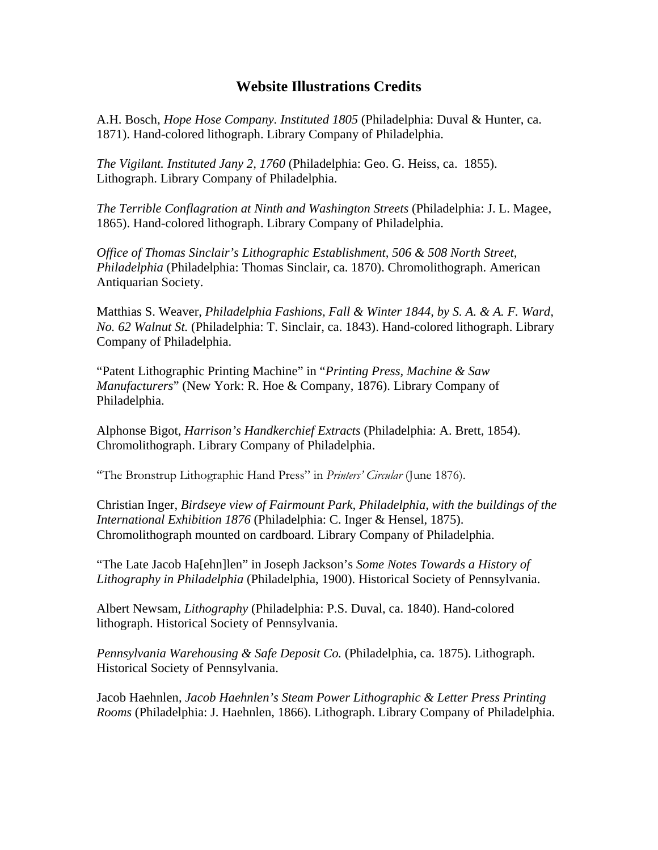## **Website Illustrations Credits**

A.H. Bosch, *Hope Hose Company. Instituted 1805* (Philadelphia: Duval & Hunter, ca. 1871). Hand-colored lithograph. Library Company of Philadelphia.

*The Vigilant. Instituted Jany 2, 1760* (Philadelphia: Geo. G. Heiss, ca. 1855). Lithograph. Library Company of Philadelphia.

*The Terrible Conflagration at Ninth and Washington Streets* (Philadelphia: J. L. Magee, 1865). Hand-colored lithograph. Library Company of Philadelphia.

*Office of Thomas Sinclair's Lithographic Establishment, 506 & 508 North Street, Philadelphia* (Philadelphia: Thomas Sinclair, ca. 1870). Chromolithograph. American Antiquarian Society.

Matthias S. Weaver, *Philadelphia Fashions, Fall & Winter 1844, by S. A. & A. F. Ward, No. 62 Walnut St.* (Philadelphia: T. Sinclair, ca. 1843). Hand-colored lithograph. Library Company of Philadelphia.

"Patent Lithographic Printing Machine" in "*Printing Press, Machine & Saw Manufacturers*" (New York: R. Hoe & Company, 1876). Library Company of Philadelphia.

Alphonse Bigot, *Harrison's Handkerchief Extracts* (Philadelphia: A. Brett, 1854). Chromolithograph. Library Company of Philadelphia.

"The Bronstrup Lithographic Hand Press" in *Printers' Circular* (June 1876).

Christian Inger, *Birdseye view of Fairmount Park, Philadelphia, with the buildings of the International Exhibition 1876* (Philadelphia: C. Inger & Hensel, 1875). Chromolithograph mounted on cardboard. Library Company of Philadelphia.

"The Late Jacob Ha[ehn]len" in Joseph Jackson's *Some Notes Towards a History of Lithography in Philadelphia* (Philadelphia, 1900). Historical Society of Pennsylvania.

Albert Newsam, *Lithography* (Philadelphia: P.S. Duval, ca. 1840). Hand-colored lithograph. Historical Society of Pennsylvania.

*Pennsylvania Warehousing & Safe Deposit Co.* (Philadelphia, ca. 1875). Lithograph. Historical Society of Pennsylvania.

Jacob Haehnlen, *Jacob Haehnlen's Steam Power Lithographic & Letter Press Printing Rooms* (Philadelphia: J. Haehnlen, 1866). Lithograph. Library Company of Philadelphia.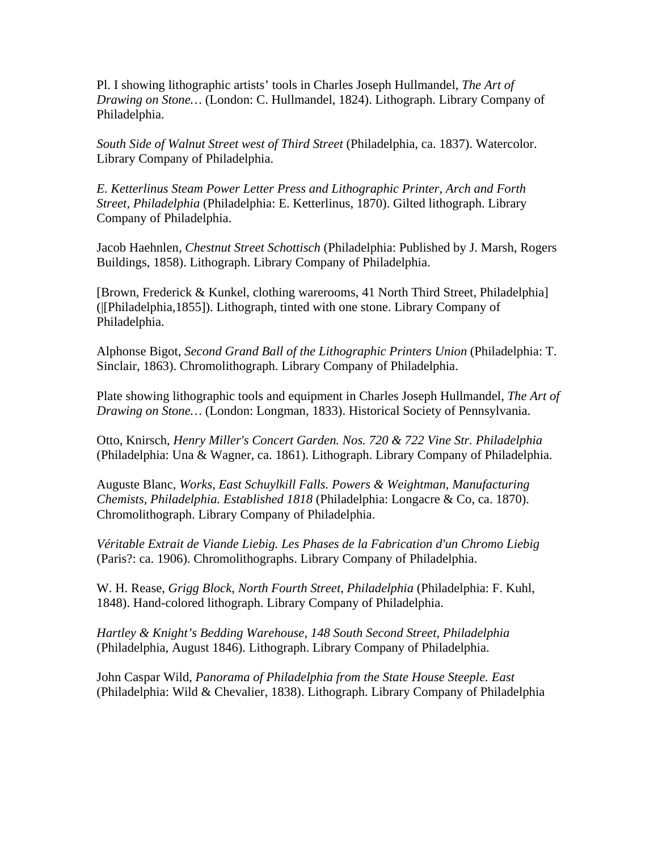Pl. I showing lithographic artists' tools in Charles Joseph Hullmandel, *The Art of Drawing on Stone…* (London: C. Hullmandel, 1824). Lithograph. Library Company of Philadelphia.

*South Side of Walnut Street west of Third Street* (Philadelphia, ca. 1837). Watercolor. Library Company of Philadelphia.

*E. Ketterlinus Steam Power Letter Press and Lithographic Printer, Arch and Forth Street, Philadelphia* (Philadelphia: E. Ketterlinus, 1870). Gilted lithograph. Library Company of Philadelphia.

Jacob Haehnlen*, Chestnut Street Schottisch* (Philadelphia: Published by J. Marsh, Rogers Buildings, 1858). Lithograph. Library Company of Philadelphia.

[Brown, Frederick & Kunkel, clothing warerooms, 41 North Third Street, Philadelphia] (|[Philadelphia,1855]). Lithograph, tinted with one stone. Library Company of Philadelphia.

Alphonse Bigot, *Second Grand Ball of the Lithographic Printers Union* (Philadelphia: T. Sinclair, 1863). Chromolithograph. Library Company of Philadelphia.

Plate showing lithographic tools and equipment in Charles Joseph Hullmandel, *The Art of Drawing on Stone…* (London: Longman, 1833). Historical Society of Pennsylvania.

Otto, Knirsch, *Henry Miller's Concert Garden. Nos. 720 & 722 Vine Str. Philadelphia*  (Philadelphia: Una & Wagner, ca. 1861). Lithograph. Library Company of Philadelphia.

Auguste Blanc, *Works, East Schuylkill Falls. Powers & Weightman, Manufacturing Chemists, Philadelphia. Established 1818* (Philadelphia: Longacre & Co, ca. 1870). Chromolithograph. Library Company of Philadelphia.

*Véritable Extrait de Viande Liebig. Les Phases de la Fabrication d'un Chromo Liebig* (Paris?: ca. 1906). Chromolithographs. Library Company of Philadelphia.

W. H. Rease, *Grigg Block, North Fourth Street, Philadelphia* (Philadelphia: F. Kuhl, 1848). Hand-colored lithograph. Library Company of Philadelphia.

*Hartley & Knight's Bedding Warehouse, 148 South Second Street, Philadelphia* (Philadelphia, August 1846). Lithograph. Library Company of Philadelphia.

John Caspar Wild, *Panorama of Philadelphia from the State House Steeple. East* (Philadelphia: Wild & Chevalier, 1838). Lithograph. Library Company of Philadelphia